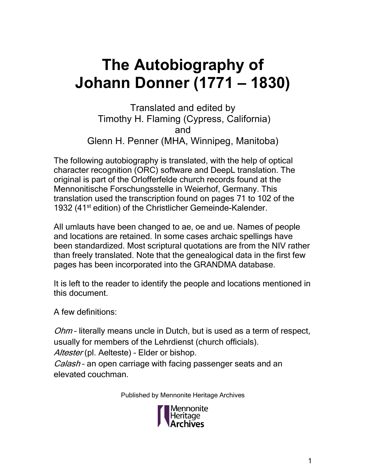## **The Autobiography of Johann Donner (1771 – 1830)**

Translated and edited by Timothy H. Flaming (Cypress, California) and

Glenn H. Penner (MHA, Winnipeg, Manitoba) The following autobiography is translated, with the help of optical character recognition (ORC) software and DeepL translation. The original is part of the Orlofferfelde church records found at the Mennonitische Forschungsstelle in Weierhof, Germany. This translation used the transcription found on pages 71 to 102 of the 1932 (41<sup>st</sup> edition) of the Christlicher Gemeinde-Kalender.

All umlauts have been changed to ae, oe and ue. Names of people and locations are retained. In some cases archaic spellings have been standardized. Most scriptural quotations are from the NIV rather than freely translated. Note that the genealogical data in the first few pages has been incorporated into the GRANDMA database.

It is left to the reader to identify the people and locations mentioned in this document.

A few definitions:

Ohm - literally means uncle in Dutch, but is used as a term of respect, usually for members of the Lehrdienst (church officials). Altester (pl. Aelteste) - Elder or bishop. Calash - an open carriage with facing passenger seats and an elevated couchman.

Published by Mennonite Heritage Archives

Mennonite Heritage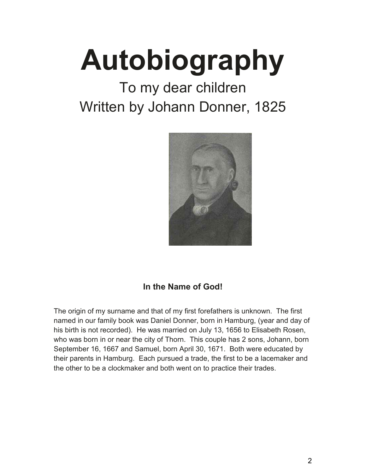## **Autobiography**

## To my dear children Written by Johann Donner, 1825



## **In the Name of God!**

The origin of my surname and that of my first forefathers is unknown. The first named in our family book was Daniel Donner, born in Hamburg, (year and day of his birth is not recorded). He was married on July 13, 1656 to Elisabeth Rosen, who was born in or near the city of Thorn. This couple has 2 sons, Johann, born September 16, 1667 and Samuel, born April 30, 1671. Both were educated by their parents in Hamburg. Each pursued a trade, the first to be a lacemaker and the other to be a clockmaker and both went on to practice their trades.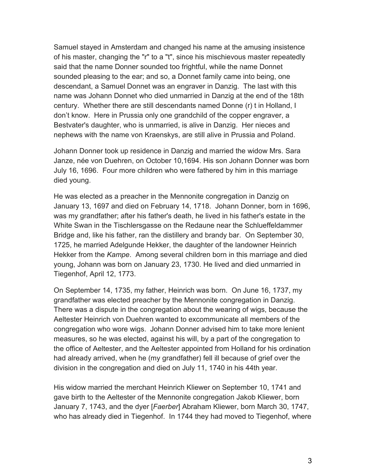Samuel stayed in Amsterdam and changed his name at the amusing insistence of his master, changing the "r" to a "t", since his mischievous master repeatedly said that the name Donner sounded too frightful, while the name Donnet sounded pleasing to the ear; and so, a Donnet family came into being, one descendant, a Samuel Donnet was an engraver in Danzig. The last with this name was Johann Donnet who died unmarried in Danzig at the end of the 18th century. Whether there are still descendants named Donne (r) t in Holland, I don't know. Here in Prussia only one grandchild of the copper engraver, a Bestvater's daughter, who is unmarried, is alive in Danzig. Her nieces and nephews with the name von Kraenskys, are still alive in Prussia and Poland.

Johann Donner took up residence in Danzig and married the widow Mrs. Sara Janze, née von Duehren, on October 10,1694. His son Johann Donner was born July 16, 1696. Four more children who were fathered by him in this marriage died young.

He was elected as a preacher in the Mennonite congregation in Danzig on January 13, 1697 and died on February 14, 1718. Johann Donner, born in 1696, was my grandfather; after his father's death, he lived in his father's estate in the White Swan in the Tischlersgasse on the Redaune near the Schlueffeldammer Bridge and, like his father, ran the distillery and brandy bar. On September 30, 1725, he married Adelgunde Hekker, the daughter of the landowner Heinrich Hekker from the *Kampe*. Among several children born in this marriage and died young, Johann was born on January 23, 1730. He lived and died unmarried in Tiegenhof, April 12, 1773.

On September 14, 1735, my father, Heinrich was born. On June 16, 1737, my grandfather was elected preacher by the Mennonite congregation in Danzig. There was a dispute in the congregation about the wearing of wigs, because the Aeltester Heinrich von Duehren wanted to excommunicate all members of the congregation who wore wigs. Johann Donner advised him to take more lenient measures, so he was elected, against his will, by a part of the congregation to the office of Aeltester, and the Aeltester appointed from Holland for his ordination had already arrived, when he (my grandfather) fell ill because of grief over the division in the congregation and died on July 11, 1740 in his 44th year.

His widow married the merchant Heinrich Kliewer on September 10, 1741 and gave birth to the Aeltester of the Mennonite congregation Jakob Kliewer, born January 7, 1743, and the dyer [*Faerber*] Abraham Kliewer, born March 30, 1747, who has already died in Tiegenhof. In 1744 they had moved to Tiegenhof, where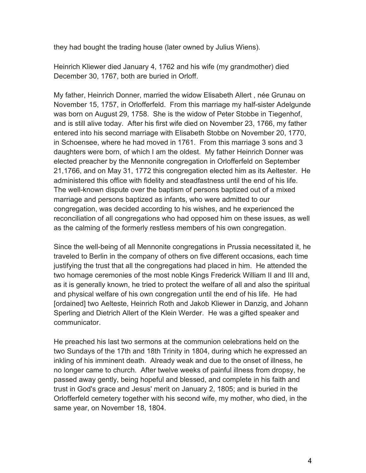they had bought the trading house (later owned by Julius Wiens).

Heinrich Kliewer died January 4, 1762 and his wife (my grandmother) died December 30, 1767, both are buried in Orloff.

My father, Heinrich Donner, married the widow Elisabeth Allert , née Grunau on November 15, 1757, in Orlofferfeld. From this marriage my half-sister Adelgunde was born on August 29, 1758. She is the widow of Peter Stobbe in Tiegenhof, and is still alive today. After his first wife died on November 23, 1766, my father entered into his second marriage with Elisabeth Stobbe on November 20, 1770, in Schoensee, where he had moved in 1761. From this marriage 3 sons and 3 daughters were born, of which I am the oldest. My father Heinrich Donner was elected preacher by the Mennonite congregation in Orlofferfeld on September 21,1766, and on May 31, 1772 this congregation elected him as its Aeltester. He administered this office with fidelity and steadfastness until the end of his life. The well-known dispute over the baptism of persons baptized out of a mixed marriage and persons baptized as infants, who were admitted to our congregation, was decided according to his wishes, and he experienced the reconciliation of all congregations who had opposed him on these issues, as well as the calming of the formerly restless members of his own congregation.

Since the well-being of all Mennonite congregations in Prussia necessitated it, he traveled to Berlin in the company of others on five different occasions, each time justifying the trust that all the congregations had placed in him. He attended the two homage ceremonies of the most noble Kings Frederick William II and III and, as it is generally known, he tried to protect the welfare of all and also the spiritual and physical welfare of his own congregation until the end of his life. He had [ordained] two Aelteste, Heinrich Roth and Jakob Kliewer in Danzig, and Johann Sperling and Dietrich Allert of the Klein Werder. He was a gifted speaker and communicator.

He preached his last two sermons at the communion celebrations held on the two Sundays of the 17th and 18th Trinity in 1804, during which he expressed an inkling of his imminent death. Already weak and due to the onset of illness, he no longer came to church. After twelve weeks of painful illness from dropsy, he passed away gently, being hopeful and blessed, and complete in his faith and trust in God's grace and Jesus' merit on January 2, 1805; and is buried in the Orlofferfeld cemetery together with his second wife, my mother, who died, in the same year, on November 18, 1804.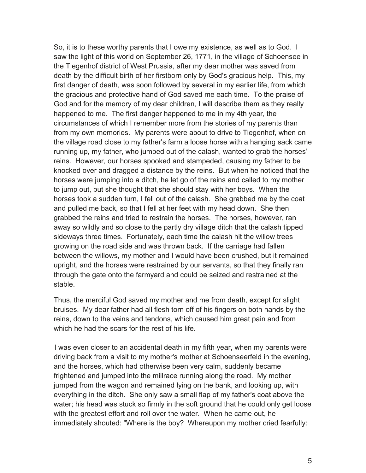So, it is to these worthy parents that I owe my existence, as well as to God. I saw the light of this world on September 26, 1771, in the village of Schoensee in the Tiegenhof district of West Prussia, after my dear mother was saved from death by the difficult birth of her firstborn only by God's gracious help. This, my first danger of death, was soon followed by several in my earlier life, from which the gracious and protective hand of God saved me each time. To the praise of God and for the memory of my dear children, I will describe them as they really happened to me. The first danger happened to me in my 4th year, the circumstances of which I remember more from the stories of my parents than from my own memories. My parents were about to drive to Tiegenhof, when on the village road close to my father's farm a loose horse with a hanging sack came running up, my father, who jumped out of the calash, wanted to grab the horses' reins. However, our horses spooked and stampeded, causing my father to be knocked over and dragged a distance by the reins. But when he noticed that the horses were jumping into a ditch, he let go of the reins and called to my mother to jump out, but she thought that she should stay with her boys. When the horses took a sudden turn, I fell out of the calash. She grabbed me by the coat and pulled me back, so that I fell at her feet with my head down. She then grabbed the reins and tried to restrain the horses. The horses, however, ran away so wildly and so close to the partly dry village ditch that the calash tipped sideways three times. Fortunately, each time the calash hit the willow trees growing on the road side and was thrown back. If the carriage had fallen between the willows, my mother and I would have been crushed, but it remained upright, and the horses were restrained by our servants, so that they finally ran through the gate onto the farmyard and could be seized and restrained at the stable.

Thus, the merciful God saved my mother and me from death, except for slight bruises. My dear father had all flesh torn off of his fingers on both hands by the reins, down to the veins and tendons, which caused him great pain and from which he had the scars for the rest of his life.

I was even closer to an accidental death in my fifth year, when my parents were driving back from a visit to my mother's mother at Schoenseerfeld in the evening, and the horses, which had otherwise been very calm, suddenly became frightened and jumped into the millrace running along the road. My mother jumped from the wagon and remained lying on the bank, and looking up, with everything in the ditch. She only saw a small flap of my father's coat above the water; his head was stuck so firmly in the soft ground that he could only get loose with the greatest effort and roll over the water. When he came out, he immediately shouted: "Where is the boy? Whereupon my mother cried fearfully: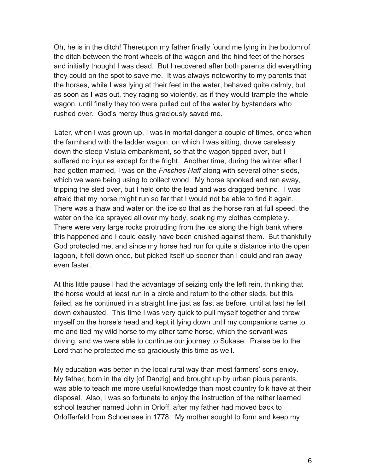Oh, he is in the ditch! Thereupon my father finally found me lying in the bottom of the ditch between the front wheels of the wagon and the hind feet of the horses and initially thought I was dead. But I recovered after both parents did everything they could on the spot to save me. It was always noteworthy to my parents that the horses, while I was lying at their feet in the water, behaved quite calmly, but as soon as I was out, they raging so violently, as if they would trample the whole wagon, until finally they too were pulled out of the water by bystanders who rushed over. God's mercy thus graciously saved me.

Later, when I was grown up, I was in mortal danger a couple of times, once when the farmhand with the ladder wagon, on which I was sitting, drove carelessly down the steep Vistula embankment, so that the wagon tipped over, but I suffered no injuries except for the fright. Another time, during the winter after I had gotten married, I was on the *Frisches Haff* along with several other sleds, which we were being using to collect wood. My horse spooked and ran away, tripping the sled over, but I held onto the lead and was dragged behind. I was afraid that my horse might run so far that I would not be able to find it again. There was a thaw and water on the ice so that as the horse ran at full speed, the water on the ice sprayed all over my body, soaking my clothes completely. There were very large rocks protruding from the ice along the high bank where this happened and I could easily have been crushed against them. But thankfully God protected me, and since my horse had run for quite a distance into the open lagoon, it fell down once, but picked itself up sooner than I could and ran away even faster.

At this little pause I had the advantage of seizing only the left rein, thinking that the horse would at least run in a circle and return to the other sleds, but this failed, as he continued in a straight line just as fast as before, until at last he fell down exhausted. This time I was very quick to pull myself together and threw myself on the horse's head and kept it lying down until my companions came to me and tied my wild horse to my other tame horse, which the servant was driving, and we were able to continue our journey to Sukase. Praise be to the Lord that he protected me so graciously this time as well.

My education was better in the local rural way than most farmers' sons enjoy. My father, born in the city [of Danzig] and brought up by urban pious parents, was able to teach me more useful knowledge than most country folk have at their disposal. Also, I was so fortunate to enjoy the instruction of the rather learned school teacher named John in Orloff, after my father had moved back to Orlofferfeld from Schoensee in 1778. My mother sought to form and keep my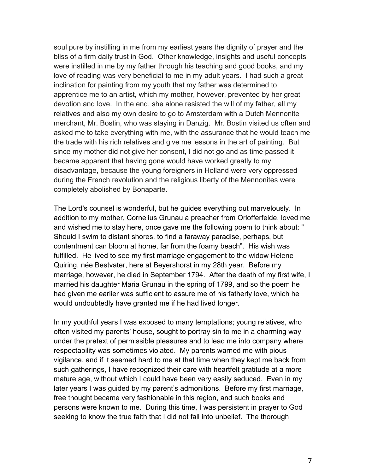soul pure by instilling in me from my earliest years the dignity of prayer and the bliss of a firm daily trust in God. Other knowledge, insights and useful concepts were instilled in me by my father through his teaching and good books, and my love of reading was very beneficial to me in my adult years. I had such a great inclination for painting from my youth that my father was determined to apprentice me to an artist, which my mother, however, prevented by her great devotion and love. In the end, she alone resisted the will of my father, all my relatives and also my own desire to go to Amsterdam with a Dutch Mennonite merchant, Mr. Bostin, who was staying in Danzig. Mr. Bostin visited us often and asked me to take everything with me, with the assurance that he would teach me the trade with his rich relatives and give me lessons in the art of painting. But since my mother did not give her consent, I did not go and as time passed it became apparent that having gone would have worked greatly to my disadvantage, because the young foreigners in Holland were very oppressed during the French revolution and the religious liberty of the Mennonites were completely abolished by Bonaparte.

The Lord's counsel is wonderful, but he guides everything out marvelously. In addition to my mother, Cornelius Grunau a preacher from Orlofferfelde, loved me and wished me to stay here, once gave me the following poem to think about: " Should I swim to distant shores, to find a faraway paradise, perhaps, but contentment can bloom at home, far from the foamy beach". His wish was fulfilled. He lived to see my first marriage engagement to the widow Helene Quiring, née Bestvater, here at Beyershorst in my 28th year. Before my marriage, however, he died in September 1794. After the death of my first wife, I married his daughter Maria Grunau in the spring of 1799, and so the poem he had given me earlier was sufficient to assure me of his fatherly love, which he would undoubtedly have granted me if he had lived longer.

In my youthful years I was exposed to many temptations; young relatives, who often visited my parents' house, sought to portray sin to me in a charming way under the pretext of permissible pleasures and to lead me into company where respectability was sometimes violated. My parents warned me with pious vigilance, and if it seemed hard to me at that time when they kept me back from such gatherings, I have recognized their care with heartfelt gratitude at a more mature age, without which I could have been very easily seduced. Even in my later years I was guided by my parent's admonitions. Before my first marriage, free thought became very fashionable in this region, and such books and persons were known to me. During this time, I was persistent in prayer to God seeking to know the true faith that I did not fall into unbelief. The thorough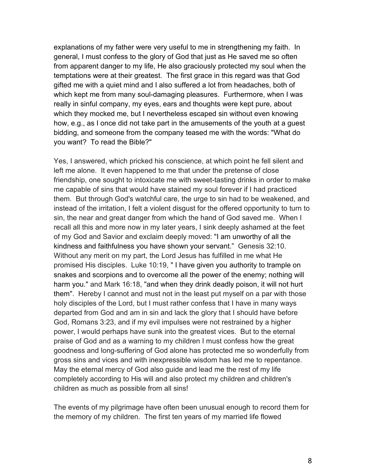explanations of my father were very useful to me in strengthening my faith. In general, I must confess to the glory of God that just as He saved me so often from apparent danger to my life, He also graciously protected my soul when the temptations were at their greatest. The first grace in this regard was that God gifted me with a quiet mind and I also suffered a lot from headaches, both of which kept me from many soul-damaging pleasures. Furthermore, when I was really in sinful company, my eyes, ears and thoughts were kept pure, about which they mocked me, but I nevertheless escaped sin without even knowing how, e.g., as I once did not take part in the amusements of the youth at a guest bidding, and someone from the company teased me with the words: "What do you want? To read the Bible?"

Yes, I answered, which pricked his conscience, at which point he fell silent and left me alone. It even happened to me that under the pretense of close friendship, one sought to intoxicate me with sweet-tasting drinks in order to make me capable of sins that would have stained my soul forever if I had practiced them. But through God's watchful care, the urge to sin had to be weakened, and instead of the irritation, I felt a violent disgust for the offered opportunity to turn to sin, the near and great danger from which the hand of God saved me. When I recall all this and more now in my later years, I sink deeply ashamed at the feet of my God and Savior and exclaim deeply moved: "I am unworthy of all the kindness and faithfulness you have shown your servant." Genesis 32:10. Without any merit on my part, the Lord Jesus has fulfilled in me what He promised His disciples. Luke 10:19, " I have given you authority to trample on snakes and scorpions and to overcome all the power of the enemy; nothing will harm you." and Mark 16:18, "and when they drink deadly poison, it will not hurt them". Hereby I cannot and must not in the least put myself on a par with those holy disciples of the Lord, but I must rather confess that I have in many ways departed from God and am in sin and lack the glory that I should have before God, Romans 3:23, and if my evil impulses were not restrained by a higher power, I would perhaps have sunk into the greatest vices. But to the eternal praise of God and as a warning to my children I must confess how the great goodness and long-suffering of God alone has protected me so wonderfully from gross sins and vices and with inexpressible wisdom has led me to repentance. May the eternal mercy of God also guide and lead me the rest of my life completely according to His will and also protect my children and children's children as much as possible from all sins!

The events of my pilgrimage have often been unusual enough to record them for the memory of my children. The first ten years of my married life flowed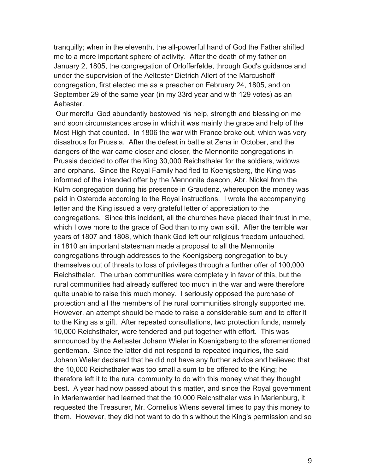tranquilly; when in the eleventh, the all-powerful hand of God the Father shifted me to a more important sphere of activity. After the death of my father on January 2, 1805, the congregation of Orlofferfelde, through God's guidance and under the supervision of the Aeltester Dietrich Allert of the Marcushoff congregation, first elected me as a preacher on February 24, 1805, and on September 29 of the same year (in my 33rd year and with 129 votes) as an Aeltester.

Our merciful God abundantly bestowed his help, strength and blessing on me and soon circumstances arose in which it was mainly the grace and help of the Most High that counted. In 1806 the war with France broke out, which was very disastrous for Prussia. After the defeat in battle at Zena in October, and the dangers of the war came closer and closer, the Mennonite congregations in Prussia decided to offer the King 30,000 Reichsthaler for the soldiers, widows and orphans. Since the Royal Family had fled to Koenigsberg, the King was informed of the intended offer by the Mennonite deacon, Abr. Nickel from the Kulm congregation during his presence in Graudenz, whereupon the money was paid in Osterode according to the Royal instructions. I wrote the accompanying letter and the King issued a very grateful letter of appreciation to the congregations. Since this incident, all the churches have placed their trust in me, which I owe more to the grace of God than to my own skill. After the terrible war years of 1807 and 1808, which thank God left our religious freedom untouched, in 1810 an important statesman made a proposal to all the Mennonite congregations through addresses to the Koenigsberg congregation to buy themselves out of threats to loss of privileges through a further offer of 100,000 Reichsthaler. The urban communities were completely in favor of this, but the rural communities had already suffered too much in the war and were therefore quite unable to raise this much money. I seriously opposed the purchase of protection and all the members of the rural communities strongly supported me. However, an attempt should be made to raise a considerable sum and to offer it to the King as a gift. After repeated consultations, two protection funds, namely 10,000 Reichsthaler, were tendered and put together with effort. This was announced by the Aeltester Johann Wieler in Koenigsberg to the aforementioned gentleman. Since the latter did not respond to repeated inquiries, the said Johann Wieler declared that he did not have any further advice and believed that the 10,000 Reichsthaler was too small a sum to be offered to the King; he therefore left it to the rural community to do with this money what they thought best. A year had now passed about this matter, and since the Royal government in Marienwerder had learned that the 10,000 Reichsthaler was in Marienburg, it requested the Treasurer, Mr. Cornelius Wiens several times to pay this money to them. However, they did not want to do this without the King's permission and so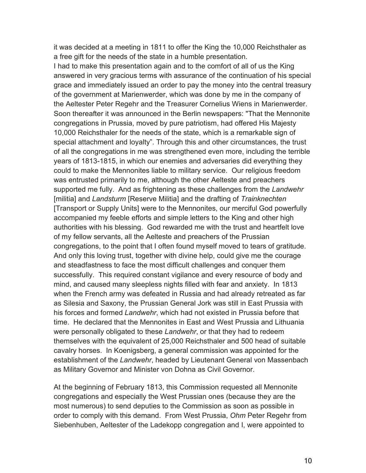it was decided at a meeting in 1811 to offer the King the 10,000 Reichsthaler as a free gift for the needs of the state in a humble presentation.

I had to make this presentation again and to the comfort of all of us the King answered in very gracious terms with assurance of the continuation of his special grace and immediately issued an order to pay the money into the central treasury of the government at Marienwerder, which was done by me in the company of the Aeltester Peter Regehr and the Treasurer Cornelius Wiens in Marienwerder. Soon thereafter it was announced in the Berlin newspapers: "That the Mennonite congregations in Prussia, moved by pure patriotism, had offered His Majesty 10,000 Reichsthaler for the needs of the state, which is a remarkable sign of special attachment and loyalty". Through this and other circumstances, the trust of all the congregations in me was strengthened even more, including the terrible years of 1813-1815, in which our enemies and adversaries did everything they could to make the Mennonites liable to military service. Our religious freedom was entrusted primarily to me, although the other Aelteste and preachers supported me fully. And as frightening as these challenges from the *Landwehr* [militia] and *Landsturm* [Reserve Militia] and the drafting of *Trainknechten* [Transport or Supply Units] were to the Mennonites, our merciful God powerfully accompanied my feeble efforts and simple letters to the King and other high authorities with his blessing. God rewarded me with the trust and heartfelt love of my fellow servants, all the Aelteste and preachers of the Prussian congregations, to the point that I often found myself moved to tears of gratitude. And only this loving trust, together with divine help, could give me the courage and steadfastness to face the most difficult challenges and conquer them successfully. This required constant vigilance and every resource of body and mind, and caused many sleepless nights filled with fear and anxiety. In 1813 when the French army was defeated in Russia and had already retreated as far as Silesia and Saxony, the Prussian General Jork was still in East Prussia with his forces and formed *Landwehr*, which had not existed in Prussia before that time. He declared that the Mennonites in East and West Prussia and Lithuania were personally obligated to these *Landwehr*, or that they had to redeem themselves with the equivalent of 25,000 Reichsthaler and 500 head of suitable cavalry horses. In Koenigsberg, a general commission was appointed for the establishment of the *Landwehr*, headed by Lieutenant General von Massenbach as Military Governor and Minister von Dohna as Civil Governor.

At the beginning of February 1813, this Commission requested all Mennonite congregations and especially the West Prussian ones (because they are the most numerous) to send deputies to the Commission as soon as possible in order to comply with this demand. From West Prussia, *Ohm* Peter Regehr from Siebenhuben, Aeltester of the Ladekopp congregation and I, were appointed to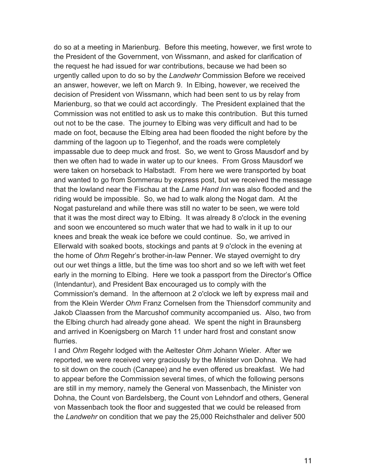do so at a meeting in Marienburg. Before this meeting, however, we first wrote to the President of the Government, von Wissmann, and asked for clarification of the request he had issued for war contributions, because we had been so urgently called upon to do so by the *Landwehr* Commission Before we received an answer, however, we left on March 9. In Elbing, however, we received the decision of President von Wissmann, which had been sent to us by relay from Marienburg, so that we could act accordingly. The President explained that the Commission was not entitled to ask us to make this contribution. But this turned out not to be the case. The journey to Elbing was very difficult and had to be made on foot, because the Elbing area had been flooded the night before by the damming of the lagoon up to Tiegenhof, and the roads were completely impassable due to deep muck and frost. So, we went to Gross Mausdorf and by then we often had to wade in water up to our knees. From Gross Mausdorf we were taken on horseback to Halbstadt. From here we were transported by boat and wanted to go from Sommerau by express post, but we received the message that the lowland near the Fischau at the *Lame Hand Inn* was also flooded and the riding would be impossible. So, we had to walk along the Nogat dam. At the Nogat pastureland and while there was still no water to be seen, we were told that it was the most direct way to Elbing. It was already 8 o'clock in the evening and soon we encountered so much water that we had to walk in it up to our knees and break the weak ice before we could continue. So, we arrived in Ellerwald with soaked boots, stockings and pants at 9 o'clock in the evening at the home of *Ohm* Regehr's brother-in-law Penner. We stayed overnight to dry out our wet things a little, but the time was too short and so we left with wet feet early in the morning to Elbing. Here we took a passport from the Director's Office (Intendantur), and President Bax encouraged us to comply with the Commission's demand. In the afternoon at 2 o'clock we left by express mail and from the Klein Werder *Ohm* Franz Cornelsen from the Thiensdorf community and Jakob Claassen from the Marcushof community accompanied us. Also, two from the Elbing church had already gone ahead. We spent the night in Braunsberg and arrived in Koenigsberg on March 11 under hard frost and constant snow flurries.

I and *Ohm* Regehr lodged with the Aeltester *Ohm* Johann Wieler. After we reported, we were received very graciously by the Minister von Dohna. We had to sit down on the couch (Canapee) and he even offered us breakfast. We had to appear before the Commission several times, of which the following persons are still in my memory, namely the General von Massenbach, the Minister von Dohna, the Count von Bardelsberg, the Count von Lehndorf and others, General von Massenbach took the floor and suggested that we could be released from the *Landwehr* on condition that we pay the 25,000 Reichsthaler and deliver 500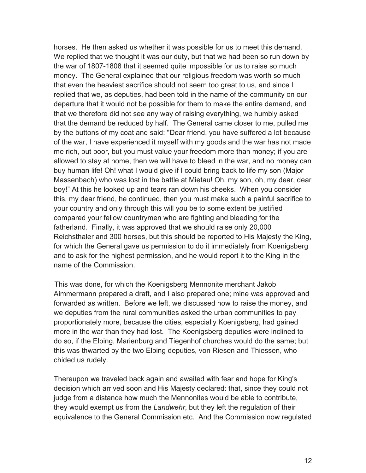horses. He then asked us whether it was possible for us to meet this demand. We replied that we thought it was our duty, but that we had been so run down by the war of 1807-1808 that it seemed quite impossible for us to raise so much money. The General explained that our religious freedom was worth so much that even the heaviest sacrifice should not seem too great to us, and since I replied that we, as deputies, had been told in the name of the community on our departure that it would not be possible for them to make the entire demand, and that we therefore did not see any way of raising everything, we humbly asked that the demand be reduced by half. The General came closer to me, pulled me by the buttons of my coat and said: "Dear friend, you have suffered a lot because of the war, I have experienced it myself with my goods and the war has not made me rich, but poor, but you must value your freedom more than money; if you are allowed to stay at home, then we will have to bleed in the war, and no money can buy human life! Oh! what I would give if I could bring back to life my son (Major Massenbach) who was lost in the battle at Mietau! Oh, my son, oh, my dear, dear boy!" At this he looked up and tears ran down his cheeks. When you consider this, my dear friend, he continued, then you must make such a painful sacrifice to your country and only through this will you be to some extent be justified compared your fellow countrymen who are fighting and bleeding for the fatherland. Finally, it was approved that we should raise only 20,000 Reichsthaler and 300 horses, but this should be reported to His Majesty the King, for which the General gave us permission to do it immediately from Koenigsberg and to ask for the highest permission, and he would report it to the King in the name of the Commission.

This was done, for which the Koenigsberg Mennonite merchant Jakob Aimmermann prepared a draft, and I also prepared one; mine was approved and forwarded as written. Before we left, we discussed how to raise the money, and we deputies from the rural communities asked the urban communities to pay proportionately more, because the cities, especially Koenigsberg, had gained more in the war than they had lost. The Koenigsberg deputies were inclined to do so, if the Elbing, Marienburg and Tiegenhof churches would do the same; but this was thwarted by the two Elbing deputies, von Riesen and Thiessen, who chided us rudely.

Thereupon we traveled back again and awaited with fear and hope for King's decision which arrived soon and His Majesty declared: that, since they could not judge from a distance how much the Mennonites would be able to contribute, they would exempt us from the *Landwehr*, but they left the regulation of their equivalence to the General Commission etc. And the Commission now regulated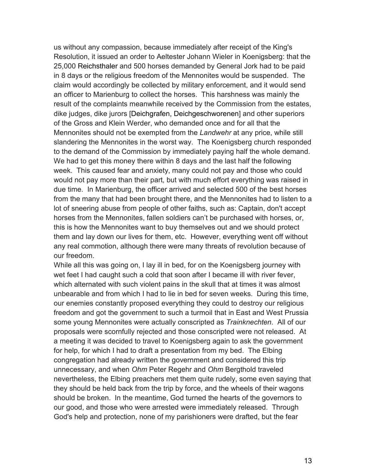us without any compassion, because immediately after receipt of the King's Resolution, it issued an order to Aeltester Johann Wieler in Koenigsberg: that the 25,000 Reichsthaler and 500 horses demanded by General Jork had to be paid in 8 days or the religious freedom of the Mennonites would be suspended. The claim would accordingly be collected by military enforcement, and it would send an officer to Marienburg to collect the horses. This harshness was mainly the result of the complaints meanwhile received by the Commission from the estates, dike judges, dike jurors [Deichgrafen, Deichgeschworenen] and other superiors of the Gross and Klein Werder, who demanded once and for all that the Mennonites should not be exempted from the *Landwehr* at any price, while still slandering the Mennonites in the worst way. The Koenigsberg church responded to the demand of the Commission by immediately paying half the whole demand. We had to get this money there within 8 days and the last half the following week. This caused fear and anxiety, many could not pay and those who could would not pay more than their part, but with much effort everything was raised in due time. In Marienburg, the officer arrived and selected 500 of the best horses from the many that had been brought there, and the Mennonites had to listen to a lot of sneering abuse from people of other faiths, such as: Captain, don't accept horses from the Mennonites, fallen soldiers can't be purchased with horses, or, this is how the Mennonites want to buy themselves out and we should protect them and lay down our lives for them, etc. However, everything went off without any real commotion, although there were many threats of revolution because of our freedom.

While all this was going on, I lay ill in bed, for on the Koenigsberg journey with wet feet I had caught such a cold that soon after I became ill with river fever, which alternated with such violent pains in the skull that at times it was almost unbearable and from which I had to lie in bed for seven weeks. During this time, our enemies constantly proposed everything they could to destroy our religious freedom and got the government to such a turmoil that in East and West Prussia some young Mennonites were actually conscripted as *Trainknechten*. All of our proposals were scornfully rejected and those conscripted were not released. At a meeting it was decided to travel to Koenigsberg again to ask the government for help, for which I had to draft a presentation from my bed. The Elbing congregation had already written the government and considered this trip unnecessary, and when *Ohm* Peter Regehr and *Ohm* Bergthold traveled nevertheless, the Elbing preachers met them quite rudely, some even saying that they should be held back from the trip by force, and the wheels of their wagons should be broken. In the meantime, God turned the hearts of the governors to our good, and those who were arrested were immediately released. Through God's help and protection, none of my parishioners were drafted, but the fear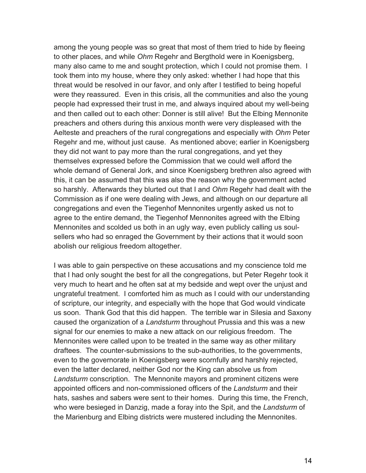among the young people was so great that most of them tried to hide by fleeing to other places, and while *Ohm* Regehr and Bergthold were in Koenigsberg, many also came to me and sought protection, which I could not promise them. I took them into my house, where they only asked: whether I had hope that this threat would be resolved in our favor, and only after I testified to being hopeful were they reassured. Even in this crisis, all the communities and also the young people had expressed their trust in me, and always inquired about my well-being and then called out to each other: Donner is still alive! But the Elbing Mennonite preachers and others during this anxious month were very displeased with the Aelteste and preachers of the rural congregations and especially with *Ohm* Peter Regehr and me, without just cause. As mentioned above; earlier in Koenigsberg they did not want to pay more than the rural congregations, and yet they themselves expressed before the Commission that we could well afford the whole demand of General Jork, and since Koenigsberg brethren also agreed with this, it can be assumed that this was also the reason why the government acted so harshly. Afterwards they blurted out that I and *Ohm* Regehr had dealt with the Commission as if one were dealing with Jews, and although on our departure all congregations and even the Tiegenhof Mennonites urgently asked us not to agree to the entire demand, the Tiegenhof Mennonites agreed with the Elbing Mennonites and scolded us both in an ugly way, even publicly calling us soulsellers who had so enraged the Government by their actions that it would soon abolish our religious freedom altogether.

I was able to gain perspective on these accusations and my conscience told me that I had only sought the best for all the congregations, but Peter Regehr took it very much to heart and he often sat at my bedside and wept over the unjust and ungrateful treatment. I comforted him as much as I could with our understanding of scripture, our integrity, and especially with the hope that God would vindicate us soon. Thank God that this did happen. The terrible war in Silesia and Saxony caused the organization of a *Landsturm* throughout Prussia and this was a new signal for our enemies to make a new attack on our religious freedom. The Mennonites were called upon to be treated in the same way as other military draftees. The counter-submissions to the sub-authorities, to the governments, even to the governorate in Koenigsberg were scornfully and harshly rejected, even the latter declared, neither God nor the King can absolve us from *Landsturm* conscription. The Mennonite mayors and prominent citizens were appointed officers and non-commissioned officers of the *Landsturm* and their hats, sashes and sabers were sent to their homes. During this time, the French, who were besieged in Danzig, made a foray into the Spit, and the *Landsturm* of the Marienburg and Elbing districts were mustered including the Mennonites.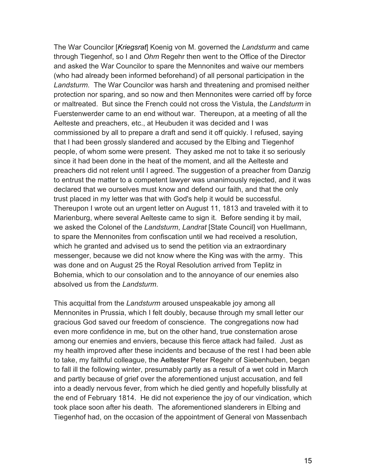The War Councilor [*Kriegsrat*] Koenig von M. governed the *Landsturm* and came through Tiegenhof, so I and *Ohm* Regehr then went to the Office of the Director and asked the War Councilor to spare the Mennonites and waive our members (who had already been informed beforehand) of all personal participation in the *Landsturm*. The War Councilor was harsh and threatening and promised neither protection nor sparing, and so now and then Mennonites were carried off by force or maltreated. But since the French could not cross the Vistula, the *Landsturm* in Fuerstenwerder came to an end without war. Thereupon, at a meeting of all the Aelteste and preachers, etc., at Heubuden it was decided and I was commissioned by all to prepare a draft and send it off quickly. I refused, saying that I had been grossly slandered and accused by the Elbing and Tiegenhof people, of whom some were present. They asked me not to take it so seriously since it had been done in the heat of the moment, and all the Aelteste and preachers did not relent until I agreed. The suggestion of a preacher from Danzig to entrust the matter to a competent lawyer was unanimously rejected, and it was declared that we ourselves must know and defend our faith, and that the only trust placed in my letter was that with God's help it would be successful. Thereupon I wrote out an urgent letter on August 11, 1813 and traveled with it to Marienburg, where several Aelteste came to sign it. Before sending it by mail, we asked the Colonel of the *Landsturm*, *Landrat* [State Council] von Huellmann, to spare the Mennonites from confiscation until we had received a resolution, which he granted and advised us to send the petition via an extraordinary messenger, because we did not know where the King was with the army. This was done and on August 25 the Royal Resolution arrived from Teplitz in Bohemia, which to our consolation and to the annoyance of our enemies also absolved us from the *Landsturm*.

This acquittal from the *Landsturm* aroused unspeakable joy among all Mennonites in Prussia, which I felt doubly, because through my small letter our gracious God saved our freedom of conscience. The congregations now had even more confidence in me, but on the other hand, true consternation arose among our enemies and enviers, because this fierce attack had failed. Just as my health improved after these incidents and because of the rest I had been able to take, my faithful colleague, the Aeltester Peter Regehr of Siebenhuben, began to fall ill the following winter, presumably partly as a result of a wet cold in March and partly because of grief over the aforementioned unjust accusation, and fell into a deadly nervous fever, from which he died gently and hopefully blissfully at the end of February 1814. He did not experience the joy of our vindication, which took place soon after his death. The aforementioned slanderers in Elbing and Tiegenhof had, on the occasion of the appointment of General von Massenbach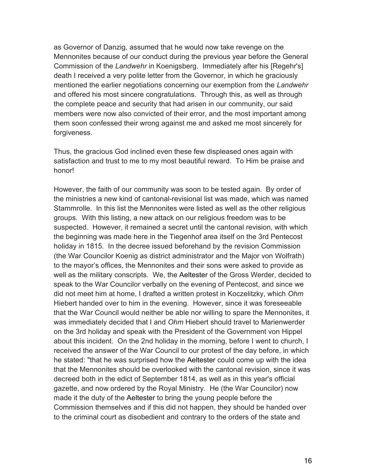as Governor of Danzig, assumed that he would now take revenge on the Mennonites because of our conduct during the previous year before the General Commission of the *Landwehr* in Koenigsberg. Immediately after his [Regehr's] death I received a very polite letter from the Governor, in which he graciously mentioned the earlier negotiations concerning our exemption from the *Landwehr* and offered his most sincere congratulations. Through this, as well as through the complete peace and security that had arisen in our community, our said members were now also convicted of their error, and the most important among them soon confessed their wrong against me and asked me most sincerely for forgiveness.

Thus, the gracious God inclined even these few displeased ones again with satisfaction and trust to me to my most beautiful reward. To Him be praise and honor!

However, the faith of our community was soon to be tested again. By order of the ministries a new kind of cantonal-revisional list was made, which was named Stammrolle. In this list the Mennonites were listed as well as the other religious groups. With this listing, a new attack on our religious freedom was to be suspected. However, it remained a secret until the cantonal revision, with which the beginning was made here in the Tiegenhof area itself on the 3rd Pentecost holiday in 1815. In the decree issued beforehand by the revision Commission (the War Councilor Koenig as district administrator and the Major von Wolfrath) to the mayor's offices, the Mennonites and their sons were asked to provide as well as the military conscripts. We, the Aeltester of the Gross Werder, decided to speak to the War Councilor verbally on the evening of Pentecost, and since we did not meet him at home, I drafted a written protest in Koczelitzky, which *Ohm* Hiebert handed over to him in the evening. However, since it was foreseeable that the War Council would neither be able nor willing to spare the Mennonites, it was immediately decided that I and *Ohm* Hiebert should travel to Marienwerder on the 3rd holiday and speak with the President of the Government von Hippel about this incident. On the 2nd holiday in the morning, before I went to church, I received the answer of the War Council to our protest of the day before, in which he stated: "that he was surprised how the Aeltester could come up with the idea that the Mennonites should be overlooked with the cantonal revision, since it was decreed both in the edict of September 1814, as well as in this year's official gazette, and now ordered by the Royal Ministry. He (the War Councilor) now made it the duty of the Aeltester to bring the young people before the Commission themselves and if this did not happen, they should be handed over to the criminal court as disobedient and contrary to the orders of the state and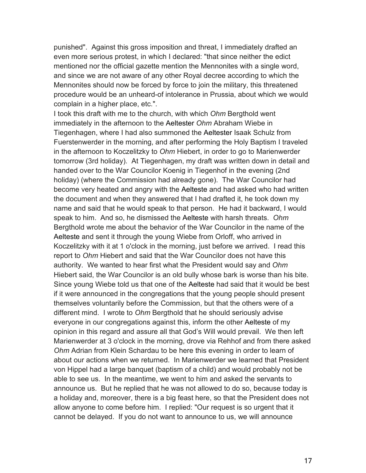punished". Against this gross imposition and threat, I immediately drafted an even more serious protest, in which I declared: "that since neither the edict mentioned nor the official gazette mention the Mennonites with a single word, and since we are not aware of any other Royal decree according to which the Mennonites should now be forced by force to join the military, this threatened procedure would be an unheard-of intolerance in Prussia, about which we would complain in a higher place, etc.".

I took this draft with me to the church, with which *Ohm* Bergthold went immediately in the afternoon to the Aeltester *Ohm* Abraham Wiebe in Tiegenhagen, where I had also summoned the Aeltester Isaak Schulz from Fuerstenwerder in the morning, and after performing the Holy Baptism I traveled in the afternoon to Koczelitzky to *Ohm* Hiebert, in order to go to Marienwerder tomorrow (3rd holiday). At Tiegenhagen, my draft was written down in detail and handed over to the War Councilor Koenig in Tiegenhof in the evening (2nd holiday) (where the Commission had already gone). The War Councilor had become very heated and angry with the Aelteste and had asked who had written the document and when they answered that I had drafted it, he took down my name and said that he would speak to that person. He had it backward, I would speak to him. And so, he dismissed the Aelteste with harsh threats. *Ohm* Bergthold wrote me about the behavior of the War Councilor in the name of the Aelteste and sent it through the young Wiebe from Orloff, who arrived in Koczelitzky with it at 1 o'clock in the morning, just before we arrived. I read this report to *Ohm* Hiebert and said that the War Councilor does not have this authority. We wanted to hear first what the President would say and *Ohm* Hiebert said, the War Councilor is an old bully whose bark is worse than his bite. Since young Wiebe told us that one of the Aelteste had said that it would be best if it were announced in the congregations that the young people should present themselves voluntarily before the Commission, but that the others were of a different mind. I wrote to *Ohm* Bergthold that he should seriously advise everyone in our congregations against this, inform the other Aelteste of my opinion in this regard and assure all that God's Will would prevail. We then left Marienwerder at 3 o'clock in the morning, drove via Rehhof and from there asked *Ohm* Adrian from Klein Schardau to be here this evening in order to learn of about our actions when we returned. In Marienwerder we learned that President von Hippel had a large banquet (baptism of a child) and would probably not be able to see us. In the meantime, we went to him and asked the servants to announce us. But he replied that he was not allowed to do so, because today is a holiday and, moreover, there is a big feast here, so that the President does not allow anyone to come before him. I replied: "Our request is so urgent that it cannot be delayed. If you do not want to announce to us, we will announce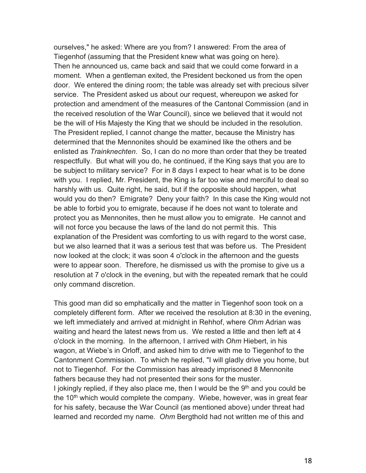ourselves," he asked: Where are you from? I answered: From the area of Tiegenhof (assuming that the President knew what was going on here). Then he announced us, came back and said that we could come forward in a moment. When a gentleman exited, the President beckoned us from the open door. We entered the dining room; the table was already set with precious silver service. The President asked us about our request, whereupon we asked for protection and amendment of the measures of the Cantonal Commission (and in the received resolution of the War Council), since we believed that it would not be the will of His Majesty the King that we should be included in the resolution. The President replied, I cannot change the matter, because the Ministry has determined that the Mennonites should be examined like the others and be enlisted as *Trainknechten*. So, I can do no more than order that they be treated respectfully. But what will you do, he continued, if the King says that you are to be subject to military service? For in 8 days I expect to hear what is to be done with you. I replied, Mr. President, the King is far too wise and merciful to deal so harshly with us. Quite right, he said, but if the opposite should happen, what would you do then? Emigrate? Deny your faith? In this case the King would not be able to forbid you to emigrate, because if he does not want to tolerate and protect you as Mennonites, then he must allow you to emigrate. He cannot and will not force you because the laws of the land do not permit this. This explanation of the President was comforting to us with regard to the worst case, but we also learned that it was a serious test that was before us. The President now looked at the clock; it was soon 4 o'clock in the afternoon and the guests were to appear soon. Therefore, he dismissed us with the promise to give us a resolution at 7 o'clock in the evening, but with the repeated remark that he could only command discretion.

This good man did so emphatically and the matter in Tiegenhof soon took on a completely different form. After we received the resolution at 8:30 in the evening, we left immediately and arrived at midnight in Rehhof, where *Ohm* Adrian was waiting and heard the latest news from us. We rested a little and then left at 4 o'clock in the morning. In the afternoon, I arrived with *Ohm* Hiebert, in his wagon, at Wiebe's in Orloff, and asked him to drive with me to Tiegenhof to the Cantonment Commission. To which he replied, "I will gladly drive you home, but not to Tiegenhof. For the Commission has already imprisoned 8 Mennonite fathers because they had not presented their sons for the muster. I jokingly replied, if they also place me, then I would be the  $9<sup>th</sup>$  and you could be the  $10<sup>th</sup>$  which would complete the company. Wiebe, however, was in great fear for his safety, because the War Council (as mentioned above) under threat had learned and recorded my name. *Ohm* Bergthold had not written me of this and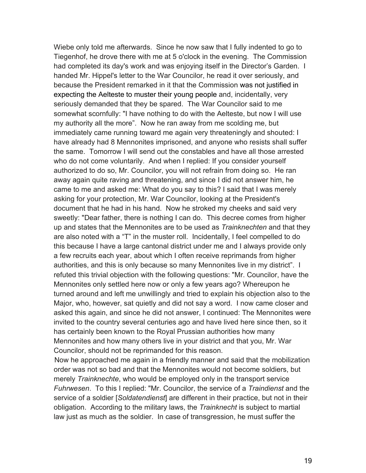Wiebe only told me afterwards. Since he now saw that I fully indented to go to Tiegenhof, he drove there with me at 5 o'clock in the evening. The Commission had completed its day's work and was enjoying itself in the Director's Garden. I handed Mr. Hippel's letter to the War Councilor, he read it over seriously, and because the President remarked in it that the Commission was not justified in expecting the Aelteste to muster their young people and, incidentally, very seriously demanded that they be spared. The War Councilor said to me somewhat scornfully: "I have nothing to do with the Aelteste, but now I will use my authority all the more". Now he ran away from me scolding me, but immediately came running toward me again very threateningly and shouted: I have already had 8 Mennonites imprisoned, and anyone who resists shall suffer the same. Tomorrow I will send out the constables and have all those arrested who do not come voluntarily. And when I replied: If you consider yourself authorized to do so, Mr. Councilor, you will not refrain from doing so. He ran away again quite raving and threatening, and since I did not answer him, he came to me and asked me: What do you say to this? I said that I was merely asking for your protection, Mr. War Councilor, looking at the President's document that he had in his hand. Now he stroked my cheeks and said very sweetly: "Dear father, there is nothing I can do. This decree comes from higher up and states that the Mennonites are to be used as *Trainknechten* and that they are also noted with a "T" in the muster roll. Incidentally, I feel compelled to do this because I have a large cantonal district under me and I always provide only a few recruits each year, about which I often receive reprimands from higher authorities, and this is only because so many Mennonites live in my district". I refuted this trivial objection with the following questions: "Mr. Councilor, have the Mennonites only settled here now or only a few years ago? Whereupon he turned around and left me unwillingly and tried to explain his objection also to the Major, who, however, sat quietly and did not say a word. I now came closer and asked this again, and since he did not answer, I continued: The Mennonites were invited to the country several centuries ago and have lived here since then, so it has certainly been known to the Royal Prussian authorities how many Mennonites and how many others live in your district and that you, Mr. War Councilor, should not be reprimanded for this reason.

Now he approached me again in a friendly manner and said that the mobilization order was not so bad and that the Mennonites would not become soldiers, but merely *Trainknechte*, who would be employed only in the transport service *Fuhrwesen*. To this I replied: "Mr. Councilor, the service of a *Traindienst* and the service of a soldier [*Soldatendienst*] are different in their practice, but not in their obligation. According to the military laws, the *Trainknecht* is subject to martial law just as much as the soldier. In case of transgression, he must suffer the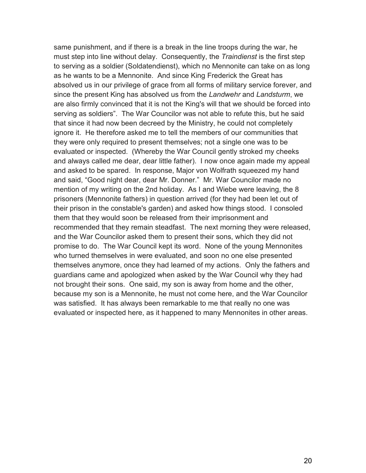same punishment, and if there is a break in the line troops during the war, he must step into line without delay. Consequently, the *Traindienst* is the first step to serving as a soldier (Soldatendienst), which no Mennonite can take on as long as he wants to be a Mennonite. And since King Frederick the Great has absolved us in our privilege of grace from all forms of military service forever, and since the present King has absolved us from the *Landwehr* and *Landsturm*, we are also firmly convinced that it is not the King's will that we should be forced into serving as soldiers". The War Councilor was not able to refute this, but he said that since it had now been decreed by the Ministry, he could not completely ignore it. He therefore asked me to tell the members of our communities that they were only required to present themselves; not a single one was to be evaluated or inspected. (Whereby the War Council gently stroked my cheeks and always called me dear, dear little father). I now once again made my appeal and asked to be spared. In response, Major von Wolfrath squeezed my hand and said, "Good night dear, dear Mr. Donner." Mr. War Councilor made no mention of my writing on the 2nd holiday. As I and Wiebe were leaving, the 8 prisoners (Mennonite fathers) in question arrived (for they had been let out of their prison in the constable's garden) and asked how things stood. I consoled them that they would soon be released from their imprisonment and recommended that they remain steadfast. The next morning they were released, and the War Councilor asked them to present their sons, which they did not promise to do. The War Council kept its word. None of the young Mennonites who turned themselves in were evaluated, and soon no one else presented themselves anymore, once they had learned of my actions. Only the fathers and guardians came and apologized when asked by the War Council why they had not brought their sons. One said, my son is away from home and the other, because my son is a Mennonite, he must not come here, and the War Councilor was satisfied. It has always been remarkable to me that really no one was evaluated or inspected here, as it happened to many Mennonites in other areas.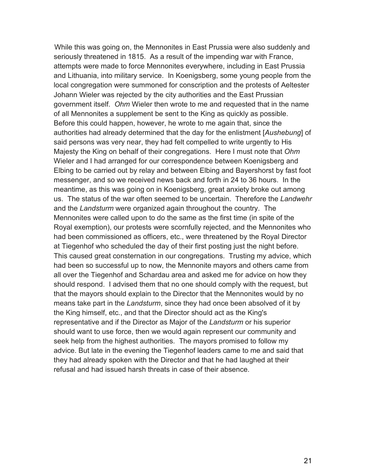While this was going on, the Mennonites in East Prussia were also suddenly and seriously threatened in 1815. As a result of the impending war with France, attempts were made to force Mennonites everywhere, including in East Prussia and Lithuania, into military service. In Koenigsberg, some young people from the local congregation were summoned for conscription and the protests of Aeltester Johann Wieler was rejected by the city authorities and the East Prussian government itself. *Ohm* Wieler then wrote to me and requested that in the name of all Mennonites a supplement be sent to the King as quickly as possible. Before this could happen, however, he wrote to me again that, since the authorities had already determined that the day for the enlistment [*Aushebung*] of said persons was very near, they had felt compelled to write urgently to His Majesty the King on behalf of their congregations. Here I must note that *Ohm* Wieler and I had arranged for our correspondence between Koenigsberg and Elbing to be carried out by relay and between Elbing and Bayershorst by fast foot messenger, and so we received news back and forth in 24 to 36 hours. In the meantime, as this was going on in Koenigsberg, great anxiety broke out among us. The status of the war often seemed to be uncertain. Therefore the *Landwehr* and the *Landsturm* were organized again throughout the country. The Mennonites were called upon to do the same as the first time (in spite of the Royal exemption), our protests were scornfully rejected, and the Mennonites who had been commissioned as officers, etc., were threatened by the Royal Director at Tiegenhof who scheduled the day of their first posting just the night before. This caused great consternation in our congregations. Trusting my advice, which had been so successful up to now, the Mennonite mayors and others came from all over the Tiegenhof and Schardau area and asked me for advice on how they should respond. I advised them that no one should comply with the request, but that the mayors should explain to the Director that the Mennonites would by no means take part in the *Landsturm*, since they had once been absolved of it by the King himself, etc., and that the Director should act as the King's representative and if the Director as Major of the *Landsturm* or his superior should want to use force, then we would again represent our community and seek help from the highest authorities. The mayors promised to follow my advice. But late in the evening the Tiegenhof leaders came to me and said that they had already spoken with the Director and that he had laughed at their refusal and had issued harsh threats in case of their absence.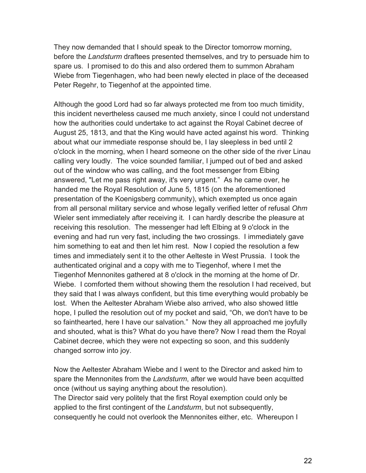They now demanded that I should speak to the Director tomorrow morning, before the *Landsturm* draftees presented themselves, and try to persuade him to spare us. I promised to do this and also ordered them to summon Abraham Wiebe from Tiegenhagen, who had been newly elected in place of the deceased Peter Regehr, to Tiegenhof at the appointed time.

Although the good Lord had so far always protected me from too much timidity, this incident nevertheless caused me much anxiety, since I could not understand how the authorities could undertake to act against the Royal Cabinet decree of August 25, 1813, and that the King would have acted against his word. Thinking about what our immediate response should be, I lay sleepless in bed until 2 o'clock in the morning, when I heard someone on the other side of the river Linau calling very loudly. The voice sounded familiar, I jumped out of bed and asked out of the window who was calling, and the foot messenger from Elbing answered, "Let me pass right away, it's very urgent." As he came over, he handed me the Royal Resolution of June 5, 1815 (on the aforementioned presentation of the Koenigsberg community), which exempted us once again from all personal military service and whose legally verified letter of refusal *Ohm* Wieler sent immediately after receiving it. I can hardly describe the pleasure at receiving this resolution. The messenger had left Elbing at 9 o'clock in the evening and had run very fast, including the two crossings. I immediately gave him something to eat and then let him rest. Now I copied the resolution a few times and immediately sent it to the other Aelteste in West Prussia. I took the authenticated original and a copy with me to Tiegenhof, where I met the Tiegenhof Mennonites gathered at 8 o'clock in the morning at the home of Dr. Wiebe. I comforted them without showing them the resolution I had received, but they said that I was always confident, but this time everything would probably be lost. When the Aeltester Abraham Wiebe also arrived, who also showed little hope, I pulled the resolution out of my pocket and said, "Oh, we don't have to be so fainthearted, here I have our salvation." Now they all approached me joyfully and shouted, what is this? What do you have there? Now I read them the Royal Cabinet decree, which they were not expecting so soon, and this suddenly changed sorrow into joy.

Now the Aeltester Abraham Wiebe and I went to the Director and asked him to spare the Mennonites from the *Landsturm*, after we would have been acquitted once (without us saying anything about the resolution). The Director said very politely that the first Royal exemption could only be applied to the first contingent of the *Landsturm*, but not subsequently, consequently he could not overlook the Mennonites either, etc. Whereupon I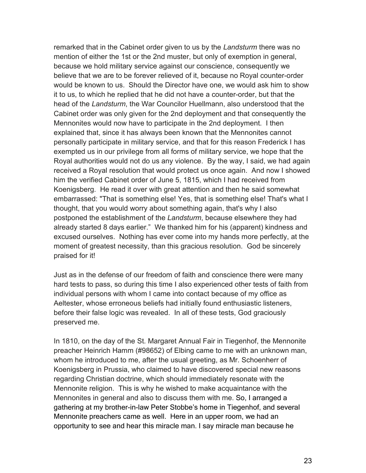remarked that in the Cabinet order given to us by the *Landsturm* there was no mention of either the 1st or the 2nd muster, but only of exemption in general, because we hold military service against our conscience, consequently we believe that we are to be forever relieved of it, because no Royal counter-order would be known to us. Should the Director have one, we would ask him to show it to us, to which he replied that he did not have a counter-order, but that the head of the *Landsturm*, the War Councilor Huellmann, also understood that the Cabinet order was only given for the 2nd deployment and that consequently the Mennonites would now have to participate in the 2nd deployment. I then explained that, since it has always been known that the Mennonites cannot personally participate in military service, and that for this reason Frederick I has exempted us in our privilege from all forms of military service, we hope that the Royal authorities would not do us any violence. By the way, I said, we had again received a Royal resolution that would protect us once again. And now I showed him the verified Cabinet order of June 5, 1815, which I had received from Koenigsberg. He read it over with great attention and then he said somewhat embarrassed: "That is something else! Yes, that is something else! That's what I thought, that you would worry about something again, that's why I also postponed the establishment of the *Landsturm*, because elsewhere they had already started 8 days earlier." We thanked him for his (apparent) kindness and excused ourselves. Nothing has ever come into my hands more perfectly, at the moment of greatest necessity, than this gracious resolution. God be sincerely praised for it!

Just as in the defense of our freedom of faith and conscience there were many hard tests to pass, so during this time I also experienced other tests of faith from individual persons with whom I came into contact because of my office as Aeltester, whose erroneous beliefs had initially found enthusiastic listeners, before their false logic was revealed. In all of these tests, God graciously preserved me.

In 1810, on the day of the St. Margaret Annual Fair in Tiegenhof, the Mennonite preacher Heinrich Hamm (#98652) of Elbing came to me with an unknown man, whom he introduced to me, after the usual greeting, as Mr. Schoenherr of Koenigsberg in Prussia, who claimed to have discovered special new reasons regarding Christian doctrine, which should immediately resonate with the Mennonite religion. This is why he wished to make acquaintance with the Mennonites in general and also to discuss them with me. So, I arranged a gathering at my brother-in-law Peter Stobbe's home in Tiegenhof, and several Mennonite preachers came as well. Here in an upper room, we had an opportunity to see and hear this miracle man. I say miracle man because he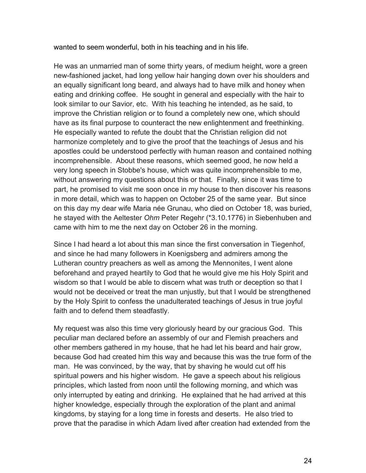wanted to seem wonderful, both in his teaching and in his life.

He was an unmarried man of some thirty years, of medium height, wore a green new-fashioned jacket, had long yellow hair hanging down over his shoulders and an equally significant long beard, and always had to have milk and honey when eating and drinking coffee. He sought in general and especially with the hair to look similar to our Savior, etc. With his teaching he intended, as he said, to improve the Christian religion or to found a completely new one, which should have as its final purpose to counteract the new enlightenment and freethinking. He especially wanted to refute the doubt that the Christian religion did not harmonize completely and to give the proof that the teachings of Jesus and his apostles could be understood perfectly with human reason and contained nothing incomprehensible. About these reasons, which seemed good, he now held a very long speech in Stobbe's house, which was quite incomprehensible to me, without answering my questions about this or that. Finally, since it was time to part, he promised to visit me soon once in my house to then discover his reasons in more detail, which was to happen on October 25 of the same year. But since on this day my dear wife Maria née Grunau, who died on October 18, was buried, he stayed with the Aeltester *Ohm* Peter Regehr (\*3.10.1776) in Siebenhuben and came with him to me the next day on October 26 in the morning.

Since I had heard a lot about this man since the first conversation in Tiegenhof, and since he had many followers in Koenigsberg and admirers among the Lutheran country preachers as well as among the Mennonites, I went alone beforehand and prayed heartily to God that he would give me his Holy Spirit and wisdom so that I would be able to discern what was truth or deception so that I would not be deceived or treat the man unjustly, but that I would be strengthened by the Holy Spirit to confess the unadulterated teachings of Jesus in true joyful faith and to defend them steadfastly.

My request was also this time very gloriously heard by our gracious God. This peculiar man declared before an assembly of our and Flemish preachers and other members gathered in my house, that he had let his beard and hair grow, because God had created him this way and because this was the true form of the man. He was convinced, by the way, that by shaving he would cut off his spiritual powers and his higher wisdom. He gave a speech about his religious principles, which lasted from noon until the following morning, and which was only interrupted by eating and drinking. He explained that he had arrived at this higher knowledge, especially through the exploration of the plant and animal kingdoms, by staying for a long time in forests and deserts. He also tried to prove that the paradise in which Adam lived after creation had extended from the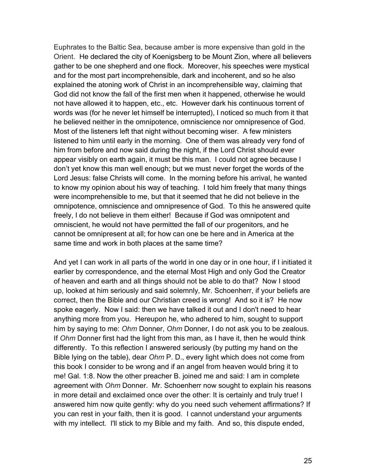Euphrates to the Baltic Sea, because amber is more expensive than gold in the Orient. He declared the city of Koenigsberg to be Mount Zion, where all believers gather to be one shepherd and one flock. Moreover, his speeches were mystical and for the most part incomprehensible, dark and incoherent, and so he also explained the atoning work of Christ in an incomprehensible way, claiming that God did not know the fall of the first men when it happened, otherwise he would not have allowed it to happen, etc., etc. However dark his continuous torrent of words was (for he never let himself be interrupted), I noticed so much from it that he believed neither in the omnipotence, omniscience nor omnipresence of God. Most of the listeners left that night without becoming wiser. A few ministers listened to him until early in the morning. One of them was already very fond of him from before and now said during the night, if the Lord Christ should ever appear visibly on earth again, it must be this man. I could not agree because I don't yet know this man well enough; but we must never forget the words of the Lord Jesus: false Christs will come. In the morning before his arrival, he wanted to know my opinion about his way of teaching. I told him freely that many things were incomprehensible to me, but that it seemed that he did not believe in the omnipotence, omniscience and omnipresence of God. To this he answered quite freely, I do not believe in them either! Because if God was omnipotent and omniscient, he would not have permitted the fall of our progenitors, and he cannot be omnipresent at all; for how can one be here and in America at the same time and work in both places at the same time?

And yet I can work in all parts of the world in one day or in one hour, if I initiated it earlier by correspondence, and the eternal Most High and only God the Creator of heaven and earth and all things should not be able to do that? Now I stood up, looked at him seriously and said solemnly, Mr. Schoenherr, if your beliefs are correct, then the Bible and our Christian creed is wrong! And so it is? He now spoke eagerly. Now I said: then we have talked it out and I don't need to hear anything more from you. Hereupon he, who adhered to him, sought to support him by saying to me: *Ohm* Donner, *Ohm* Donner, I do not ask you to be zealous. If *Ohm* Donner first had the light from this man, as I have it, then he would think differently. To this reflection I answered seriously (by putting my hand on the Bible lying on the table), dear *Ohm* P. D., every light which does not come from this book I consider to be wrong and if an angel from heaven would bring it to me! Gal. 1:8. Now the other preacher B. joined me and said: I am in complete agreement with *Ohm* Donner. Mr. Schoenherr now sought to explain his reasons in more detail and exclaimed once over the other: It is certainly and truly true! I answered him now quite gently: why do you need such vehement affirmations? If you can rest in your faith, then it is good. I cannot understand your arguments with my intellect. I'll stick to my Bible and my faith. And so, this dispute ended,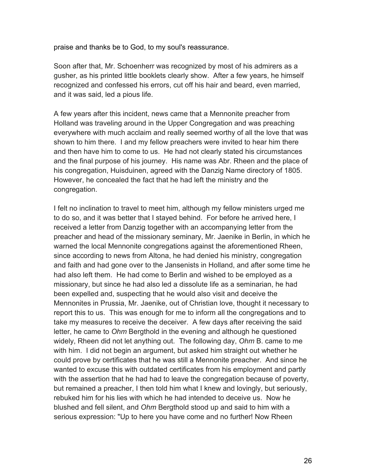praise and thanks be to God, to my soul's reassurance.

Soon after that, Mr. Schoenherr was recognized by most of his admirers as a gusher, as his printed little booklets clearly show. After a few years, he himself recognized and confessed his errors, cut off his hair and beard, even married, and it was said, led a pious life.

A few years after this incident, news came that a Mennonite preacher from Holland was traveling around in the Upper Congregation and was preaching everywhere with much acclaim and really seemed worthy of all the love that was shown to him there. I and my fellow preachers were invited to hear him there and then have him to come to us. He had not clearly stated his circumstances and the final purpose of his journey. His name was Abr. Rheen and the place of his congregation, Huisduinen, agreed with the Danzig Name directory of 1805. However, he concealed the fact that he had left the ministry and the congregation.

I felt no inclination to travel to meet him, although my fellow ministers urged me to do so, and it was better that I stayed behind. For before he arrived here, I received a letter from Danzig together with an accompanying letter from the preacher and head of the missionary seminary, Mr. Jaenike in Berlin, in which he warned the local Mennonite congregations against the aforementioned Rheen, since according to news from Altona, he had denied his ministry, congregation and faith and had gone over to the Jansenists in Holland, and after some time he had also left them. He had come to Berlin and wished to be employed as a missionary, but since he had also led a dissolute life as a seminarian, he had been expelled and, suspecting that he would also visit and deceive the Mennonites in Prussia, Mr. Jaenike, out of Christian love, thought it necessary to report this to us. This was enough for me to inform all the congregations and to take my measures to receive the deceiver. A few days after receiving the said letter, he came to *Ohm* Bergthold in the evening and although he questioned widely, Rheen did not let anything out. The following day, *Ohm* B. came to me with him. I did not begin an argument, but asked him straight out whether he could prove by certificates that he was still a Mennonite preacher. And since he wanted to excuse this with outdated certificates from his employment and partly with the assertion that he had had to leave the congregation because of poverty, but remained a preacher, I then told him what I knew and lovingly, but seriously, rebuked him for his lies with which he had intended to deceive us. Now he blushed and fell silent, and *Ohm* Bergthold stood up and said to him with a serious expression: "Up to here you have come and no further! Now Rheen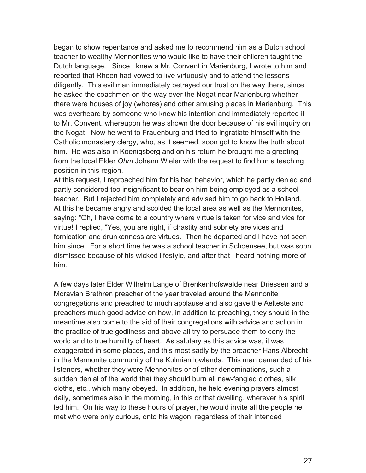began to show repentance and asked me to recommend him as a Dutch school teacher to wealthy Mennonites who would like to have their children taught the Dutch language. Since I knew a Mr. Convent in Marienburg, I wrote to him and reported that Rheen had vowed to live virtuously and to attend the lessons diligently. This evil man immediately betrayed our trust on the way there, since he asked the coachmen on the way over the Nogat near Marienburg whether there were houses of joy (whores) and other amusing places in Marienburg. This was overheard by someone who knew his intention and immediately reported it to Mr. Convent, whereupon he was shown the door because of his evil inquiry on the Nogat. Now he went to Frauenburg and tried to ingratiate himself with the Catholic monastery clergy, who, as it seemed, soon got to know the truth about him. He was also in Koenigsberg and on his return he brought me a greeting from the local Elder *Ohm* Johann Wieler with the request to find him a teaching position in this region.

At this request, I reproached him for his bad behavior, which he partly denied and partly considered too insignificant to bear on him being employed as a school teacher. But I rejected him completely and advised him to go back to Holland. At this he became angry and scolded the local area as well as the Mennonites, saying: "Oh, I have come to a country where virtue is taken for vice and vice for virtue! I replied, "Yes, you are right, if chastity and sobriety are vices and fornication and drunkenness are virtues. Then he departed and I have not seen him since. For a short time he was a school teacher in Schoensee, but was soon dismissed because of his wicked lifestyle, and after that I heard nothing more of him.

A few days later Elder Wilhelm Lange of Brenkenhofswalde near Driessen and a Moravian Brethren preacher of the year traveled around the Mennonite congregations and preached to much applause and also gave the Aelteste and preachers much good advice on how, in addition to preaching, they should in the meantime also come to the aid of their congregations with advice and action in the practice of true godliness and above all try to persuade them to deny the world and to true humility of heart. As salutary as this advice was, it was exaggerated in some places, and this most sadly by the preacher Hans Albrecht in the Mennonite community of the Kulmian lowlands. This man demanded of his listeners, whether they were Mennonites or of other denominations, such a sudden denial of the world that they should burn all new-fangled clothes, silk cloths, etc., which many obeyed. In addition, he held evening prayers almost daily, sometimes also in the morning, in this or that dwelling, wherever his spirit led him. On his way to these hours of prayer, he would invite all the people he met who were only curious, onto his wagon, regardless of their intended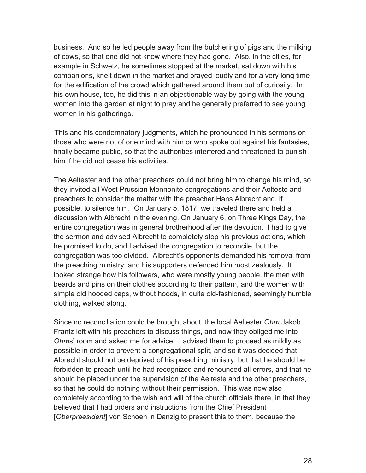business. And so he led people away from the butchering of pigs and the milking of cows, so that one did not know where they had gone. Also, in the cities, for example in Schwetz, he sometimes stopped at the market, sat down with his companions, knelt down in the market and prayed loudly and for a very long time for the edification of the crowd which gathered around them out of curiosity. In his own house, too, he did this in an objectionable way by going with the young women into the garden at night to pray and he generally preferred to see young women in his gatherings.

This and his condemnatory judgments, which he pronounced in his sermons on those who were not of one mind with him or who spoke out against his fantasies, finally became public, so that the authorities interfered and threatened to punish him if he did not cease his activities.

The Aeltester and the other preachers could not bring him to change his mind, so they invited all West Prussian Mennonite congregations and their Aelteste and preachers to consider the matter with the preacher Hans Albrecht and, if possible, to silence him. On January 5, 1817, we traveled there and held a discussion with Albrecht in the evening. On January 6, on Three Kings Day, the entire congregation was in general brotherhood after the devotion. I had to give the sermon and advised Albrecht to completely stop his previous actions, which he promised to do, and I advised the congregation to reconcile, but the congregation was too divided. Albrecht's opponents demanded his removal from the preaching ministry, and his supporters defended him most zealously. It looked strange how his followers, who were mostly young people, the men with beards and pins on their clothes according to their pattern, and the women with simple old hooded caps, without hoods, in quite old-fashioned, seemingly humble clothing, walked along.

Since no reconciliation could be brought about, the local Aeltester *Ohm* Jakob Frantz left with his preachers to discuss things, and now they obliged me into *Ohm*s' room and asked me for advice. I advised them to proceed as mildly as possible in order to prevent a congregational split, and so it was decided that Albrecht should not be deprived of his preaching ministry, but that he should be forbidden to preach until he had recognized and renounced all errors, and that he should be placed under the supervision of the Aelteste and the other preachers, so that he could do nothing without their permission. This was now also completely according to the wish and will of the church officials there, in that they believed that I had orders and instructions from the Chief President [*Oberpraesident*] von Schoen in Danzig to present this to them, because the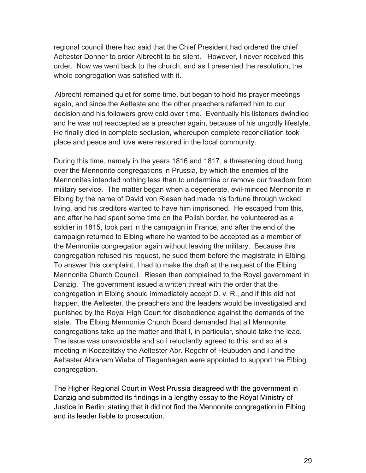regional council there had said that the Chief President had ordered the chief Aeltester Donner to order Albrecht to be silent. However, I never received this order. Now we went back to the church, and as I presented the resolution, the whole congregation was satisfied with it.

Albrecht remained quiet for some time, but began to hold his prayer meetings again, and since the Aelteste and the other preachers referred him to our decision and his followers grew cold over time. Eventually his listeners dwindled and he was not reaccepted as a preacher again, because of his ungodly lifestyle. He finally died in complete seclusion, whereupon complete reconciliation took place and peace and love were restored in the local community.

During this time, namely in the years 1816 and 1817, a threatening cloud hung over the Mennonite congregations in Prussia, by which the enemies of the Mennonites intended nothing less than to undermine or remove our freedom from military service. The matter began when a degenerate, evil-minded Mennonite in Elbing by the name of David von Riesen had made his fortune through wicked living, and his creditors wanted to have him imprisoned. He escaped from this, and after he had spent some time on the Polish border, he volunteered as a soldier in 1815, took part in the campaign in France, and after the end of the campaign returned to Elbing where he wanted to be accepted as a member of the Mennonite congregation again without leaving the military. Because this congregation refused his request, he sued them before the magistrate in Elbing. To answer this complaint, I had to make the draft at the request of the Elbing Mennonite Church Council. Riesen then complained to the Royal government in Danzig. The government issued a written threat with the order that the congregation in Elbing should immediately accept D. v. R., and if this did not happen, the Aeltester, the preachers and the leaders would be investigated and punished by the Royal High Court for disobedience against the demands of the state. The Elbing Mennonite Church Board demanded that all Mennonite congregations take up the matter and that I, in particular, should take the lead. The issue was unavoidable and so I reluctantly agreed to this, and so at a meeting in Koezelitzky the Aeltester Abr. Regehr of Heubuden and I and the Aeltester Abraham Wiebe of Tiegenhagen were appointed to support the Elbing congregation.

The Higher Regional Court in West Prussia disagreed with the government in Danzig and submitted its findings in a lengthy essay to the Royal Ministry of Justice in Berlin, stating that it did not find the Mennonite congregation in Elbing and its leader liable to prosecution.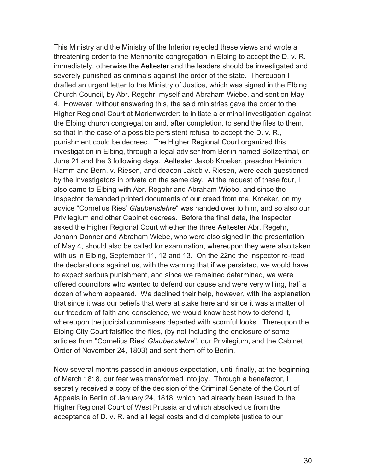This Ministry and the Ministry of the Interior rejected these views and wrote a threatening order to the Mennonite congregation in Elbing to accept the D. v. R. immediately, otherwise the Aeltester and the leaders should be investigated and severely punished as criminals against the order of the state. Thereupon I drafted an urgent letter to the Ministry of Justice, which was signed in the Elbing Church Council, by Abr. Regehr, myself and Abraham Wiebe, and sent on May 4. However, without answering this, the said ministries gave the order to the Higher Regional Court at Marienwerder: to initiate a criminal investigation against the Elbing church congregation and, after completion, to send the files to them, so that in the case of a possible persistent refusal to accept the D. v. R., punishment could be decreed. The Higher Regional Court organized this investigation in Elbing, through a legal adviser from Berlin named Boltzenthal, on June 21 and the 3 following days. Aeltester Jakob Kroeker, preacher Heinrich Hamm and Bern. v. Riesen, and deacon Jakob v. Riesen, were each questioned by the investigators in private on the same day. At the request of these four, I also came to Elbing with Abr. Regehr and Abraham Wiebe, and since the Inspector demanded printed documents of our creed from me. Kroeker, on my advice "Cornelius Ries' *Glaubenslehre*" was handed over to him, and so also our Privilegium and other Cabinet decrees. Before the final date, the Inspector asked the Higher Regional Court whether the three Aeltester Abr. Regehr, Johann Donner and Abraham Wiebe, who were also signed in the presentation of May 4, should also be called for examination, whereupon they were also taken with us in Elbing, September 11, 12 and 13. On the 22nd the Inspector re-read the declarations against us, with the warning that if we persisted, we would have to expect serious punishment, and since we remained determined, we were offered councilors who wanted to defend our cause and were very willing, half a dozen of whom appeared. We declined their help, however, with the explanation that since it was our beliefs that were at stake here and since it was a matter of our freedom of faith and conscience, we would know best how to defend it, whereupon the judicial commissars departed with scornful looks. Thereupon the Elbing City Court falsified the files, (by not including the enclosure of some articles from "Cornelius Ries' *Glaubenslehre*", our Privilegium, and the Cabinet Order of November 24, 1803) and sent them off to Berlin.

Now several months passed in anxious expectation, until finally, at the beginning of March 1818, our fear was transformed into joy. Through a benefactor, I secretly received a copy of the decision of the Criminal Senate of the Court of Appeals in Berlin of January 24, 1818, which had already been issued to the Higher Regional Court of West Prussia and which absolved us from the acceptance of D. v. R. and all legal costs and did complete justice to our